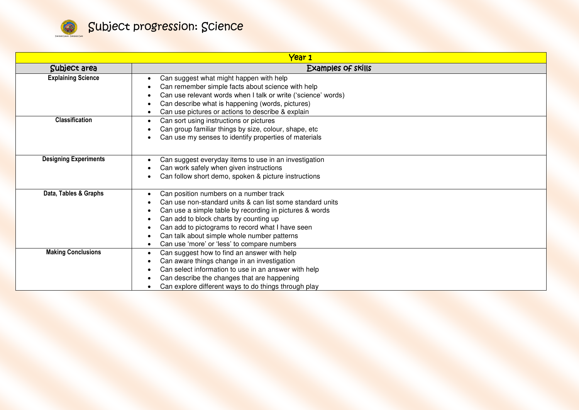

| Year 1                       |                                                                                                                                                                                                                                                                                                                                                            |  |
|------------------------------|------------------------------------------------------------------------------------------------------------------------------------------------------------------------------------------------------------------------------------------------------------------------------------------------------------------------------------------------------------|--|
| Subject area                 | <b>Examples of skills</b>                                                                                                                                                                                                                                                                                                                                  |  |
| <b>Explaining Science</b>    | Can suggest what might happen with help<br>Can remember simple facts about science with help<br>Can use relevant words when I talk or write ('science' words)<br>Can describe what is happening (words, pictures)<br>Can use pictures or actions to describe & explain                                                                                     |  |
| <b>Classification</b>        | Can sort using instructions or pictures<br>Can group familiar things by size, colour, shape, etc<br>Can use my senses to identify properties of materials                                                                                                                                                                                                  |  |
| <b>Designing Experiments</b> | Can suggest everyday items to use in an investigation<br>Can work safely when given instructions<br>Can follow short demo, spoken & picture instructions                                                                                                                                                                                                   |  |
| Data, Tables & Graphs        | Can position numbers on a number track<br>Can use non-standard units & can list some standard units<br>Can use a simple table by recording in pictures & words<br>Can add to block charts by counting up<br>Can add to pictograms to record what I have seen<br>Can talk about simple whole number patterns<br>Can use 'more' or 'less' to compare numbers |  |
| <b>Making Conclusions</b>    | Can suggest how to find an answer with help<br>$\bullet$<br>Can aware things change in an investigation<br>Can select information to use in an answer with help<br>Can describe the changes that are happening<br>Can explore different ways to do things through play                                                                                     |  |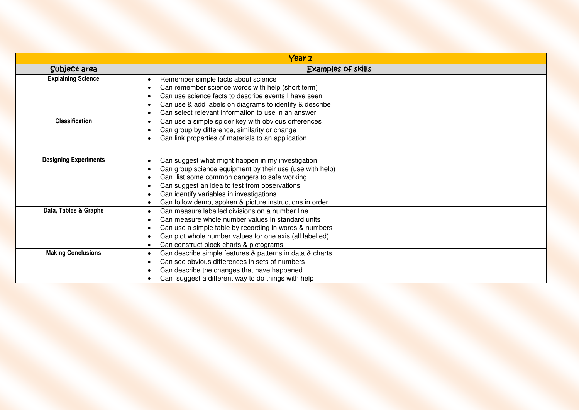|                              | Year <sub>2</sub>                                                                                                                                                                                                                                                                                                     |  |  |
|------------------------------|-----------------------------------------------------------------------------------------------------------------------------------------------------------------------------------------------------------------------------------------------------------------------------------------------------------------------|--|--|
| Subject area                 | <b>Examples of skills</b>                                                                                                                                                                                                                                                                                             |  |  |
| <b>Explaining Science</b>    | Remember simple facts about science<br>Can remember science words with help (short term)<br>Can use science facts to describe events I have seen<br>Can use & add labels on diagrams to identify & describe<br>Can select relevant information to use in an answer                                                    |  |  |
| <b>Classification</b>        | Can use a simple spider key with obvious differences<br>$\bullet$<br>Can group by difference, similarity or change<br>Can link properties of materials to an application                                                                                                                                              |  |  |
| <b>Designing Experiments</b> | Can suggest what might happen in my investigation<br>Can group science equipment by their use (use with help)<br>Can list some common dangers to safe working<br>Can suggest an idea to test from observations<br>Can identify variables in investigations<br>Can follow demo, spoken & picture instructions in order |  |  |
| Data, Tables & Graphs        | Can measure labelled divisions on a number line<br>$\bullet$<br>Can measure whole number values in standard units<br>Can use a simple table by recording in words & numbers<br>Can plot whole number values for one axis (all labelled)<br>Can construct block charts & pictograms                                    |  |  |
| <b>Making Conclusions</b>    | Can describe simple features & patterns in data & charts<br>$\bullet$<br>Can see obvious differences in sets of numbers<br>Can describe the changes that have happened<br>Can suggest a different way to do things with help                                                                                          |  |  |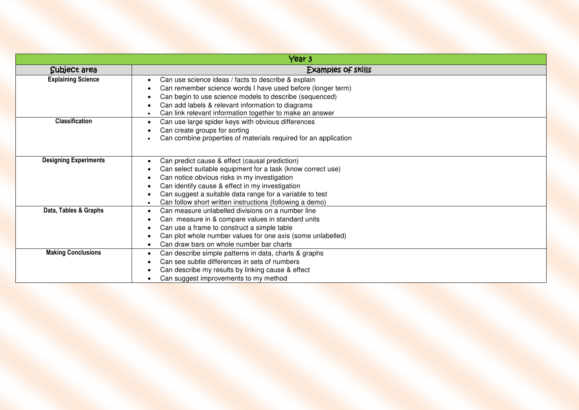| Year 3                       |                                                                                                                                                                                                                                                                                                                                          |
|------------------------------|------------------------------------------------------------------------------------------------------------------------------------------------------------------------------------------------------------------------------------------------------------------------------------------------------------------------------------------|
| Subject area                 | Examples of skills                                                                                                                                                                                                                                                                                                                       |
| <b>Explaining Science</b>    | Can use science ideas / facts to describe & explain<br>Can remember science words I have used before (longer term)<br>Can begin to use science models to describe (sequenced)<br>Can add labels & relevant information to diagrams<br>Can link relevant information together to make an answer                                           |
| <b>Classification</b>        | Can use large spider keys with obvious differences<br>Can create groups for sorting<br>Can combine properties of materials required for an application                                                                                                                                                                                   |
| <b>Designing Experiments</b> | Can predict cause & effect (causal prediction)<br>Can select suitable equipment for a task (know correct use)<br>Can notice obvious risks in my investigation<br>Can identify cause & effect in my investigation<br>Can suggest a suitable data range for a variable to test<br>Can follow short written instructions (following a demo) |
| Data, Tables & Graphs        | Can measure unlabelled divisions on a number line<br>Can measure in & compare values in standard units<br>$\bullet$<br>Can use a frame to construct a simple table<br>Can plot whole number values for one axis (some unlabelled)<br>Can draw bars on whole number bar charts                                                            |
| <b>Making Conclusions</b>    | Can describe simple patterns in data, charts & graphs<br>Can see subtle differences in sets of numbers<br>Can describe my results by linking cause & effect<br>Can suggest improvements to my method                                                                                                                                     |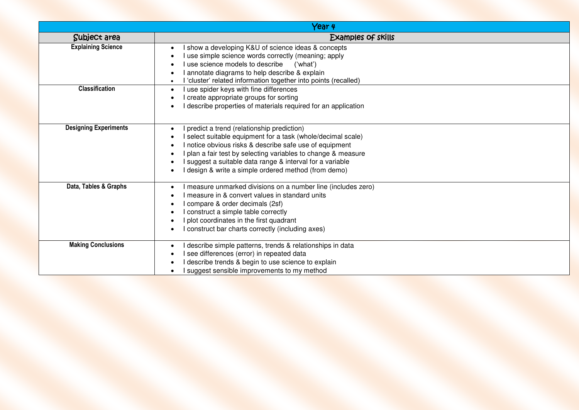|                              | Year 4                                                                                                                                                                                                                                                                                                                                                       |
|------------------------------|--------------------------------------------------------------------------------------------------------------------------------------------------------------------------------------------------------------------------------------------------------------------------------------------------------------------------------------------------------------|
| Subject area                 | Examples of skills                                                                                                                                                                                                                                                                                                                                           |
| <b>Explaining Science</b>    | I show a developing K&U of science ideas & concepts<br>I use simple science words correctly (meaning; apply<br>I use science models to describe ('what')<br>I annotate diagrams to help describe & explain<br>I 'cluster' related information together into points (recalled)                                                                                |
| <b>Classification</b>        | I use spider keys with fine differences<br>$\bullet$<br>I create appropriate groups for sorting<br>I describe properties of materials required for an application                                                                                                                                                                                            |
| <b>Designing Experiments</b> | I predict a trend (relationship prediction)<br>I select suitable equipment for a task (whole/decimal scale)<br>I notice obvious risks & describe safe use of equipment<br>I plan a fair test by selecting variables to change & measure<br>I suggest a suitable data range & interval for a variable<br>I design & write a simple ordered method (from demo) |
| Data, Tables & Graphs        | I measure unmarked divisions on a number line (includes zero)<br>I measure in & convert values in standard units<br>I compare & order decimals (2sf)<br>I construct a simple table correctly<br>I plot coordinates in the first quadrant<br>I construct bar charts correctly (including axes)                                                                |
| <b>Making Conclusions</b>    | I describe simple patterns, trends & relationships in data<br>I see differences (error) in repeated data<br>describe trends & begin to use science to explain<br>I suggest sensible improvements to my method                                                                                                                                                |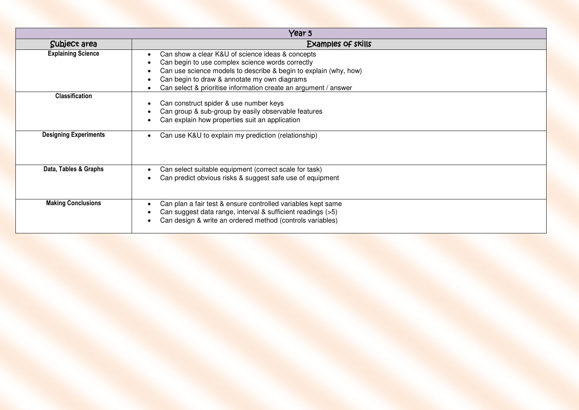| Year 5                       |                                                                                                                                                                                                                                                                                             |
|------------------------------|---------------------------------------------------------------------------------------------------------------------------------------------------------------------------------------------------------------------------------------------------------------------------------------------|
| Subject area                 | Examples of skills                                                                                                                                                                                                                                                                          |
| <b>Explaining Science</b>    | Can show a clear K&U of science ideas & concepts<br>Can begin to use complex science words correctly<br>Can use science models to describe & begin to explain (why, how)<br>Can begin to draw & annotate my own diagrams<br>Can select & prioritise information create an argument / answer |
| <b>Classification</b>        | Can construct spider & use number keys<br>Can group & sub-group by easily observable features<br>Can explain how properties suit an application                                                                                                                                             |
| <b>Designing Experiments</b> | Can use K&U to explain my prediction (relationship)                                                                                                                                                                                                                                         |
| Data, Tables & Graphs        | Can select suitable equipment (correct scale for task)<br>Can predict obvious risks & suggest safe use of equipment                                                                                                                                                                         |
| <b>Making Conclusions</b>    | Can plan a fair test & ensure controlled variables kept same<br>Can suggest data range, interval & sufficient readings (>5)<br>Can design & write an ordered method (controls variables)                                                                                                    |